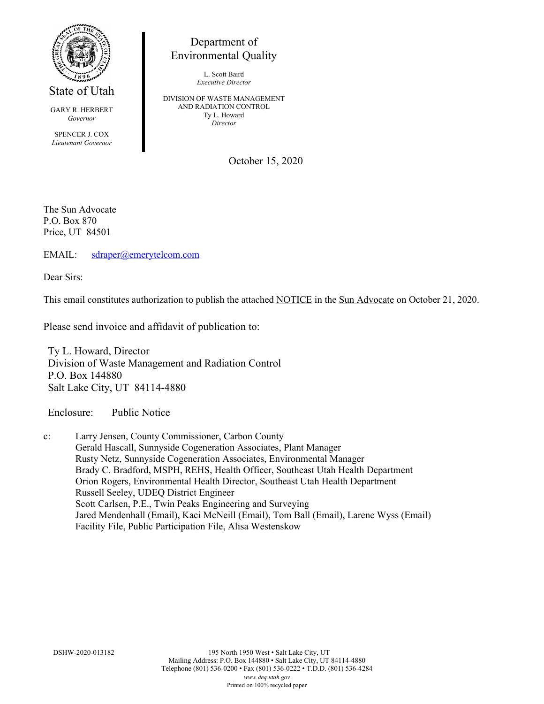

State of Utah

GARY R. HERBERT *Governor*

SPENCER J. COX *Lieutenant Governor*

Department of Environmental Quality

> L. Scott Baird *Executive Director*

DIVISION OF WASTE MANAGEMENT AND RADIATION CONTROL Ty L. Howard *Director*

October 15, 2020

The Sun Advocate P.O. Box 870 Price, UT 84501

EMAIL: [sdraper@emerytelcom.com](mailto:sdraper@emerytelcom.com)

Dear Sirs:

This email constitutes authorization to publish the attached NOTICE in the Sun Advocate on October 21, 2020.

Please send invoice and affidavit of publication to:

Ty L. Howard, Director Division of Waste Management and Radiation Control P.O. Box 144880 Salt Lake City, UT 84114-4880

Enclosure: Public Notice

c: Larry Jensen, County Commissioner, Carbon County Gerald Hascall, Sunnyside Cogeneration Associates, Plant Manager Rusty Netz, Sunnyside Cogeneration Associates, Environmental Manager Brady C. Bradford, MSPH, REHS, Health Officer, Southeast Utah Health Department Orion Rogers, Environmental Health Director, Southeast Utah Health Department Russell Seeley, UDEQ District Engineer Scott Carlsen, P.E., Twin Peaks Engineering and Surveying Jared Mendenhall (Email), Kaci McNeill (Email), Tom Ball (Email), Larene Wyss (Email) Facility File, Public Participation File, Alisa Westenskow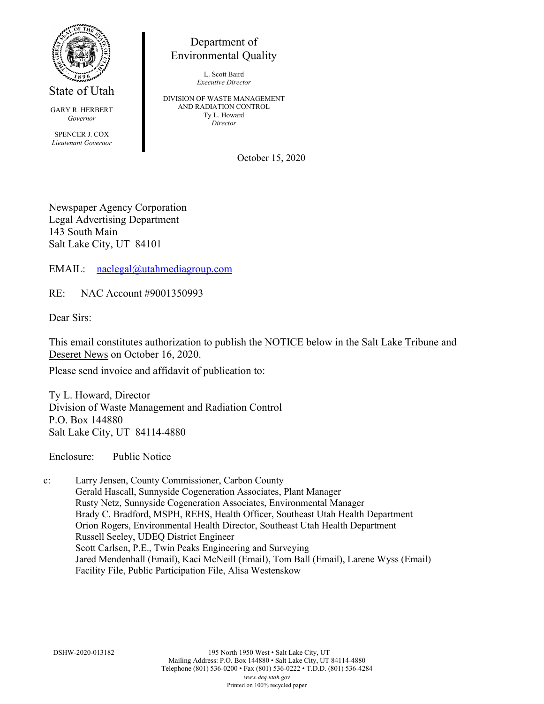

State of Utah

GARY R. HERBERT *Governor*

SPENCER J. COX *Lieutenant Governor*

Department of Environmental Quality

> L. Scott Baird *Executive Director*

DIVISION OF WASTE MANAGEMENT AND RADIATION CONTROL Ty L. Howard *Director*

October 15, 2020

Newspaper Agency Corporation Legal Advertising Department 143 South Main Salt Lake City, UT 84101

EMAIL: [naclegal@utahmediagroup.com](mailto:naclegal@utahmediagroup.com)

RE: NAC Account #9001350993

Dear Sirs:

This email constitutes authorization to publish the NOTICE below in the Salt Lake Tribune and Deseret News on October 16, 2020.

Please send invoice and affidavit of publication to:

Ty L. Howard, Director Division of Waste Management and Radiation Control P.O. Box 144880 Salt Lake City, UT 84114-4880

Enclosure: Public Notice

c: Larry Jensen, County Commissioner, Carbon County Gerald Hascall, Sunnyside Cogeneration Associates, Plant Manager Rusty Netz, Sunnyside Cogeneration Associates, Environmental Manager Brady C. Bradford, MSPH, REHS, Health Officer, Southeast Utah Health Department Orion Rogers, Environmental Health Director, Southeast Utah Health Department Russell Seeley, UDEQ District Engineer Scott Carlsen, P.E., Twin Peaks Engineering and Surveying Jared Mendenhall (Email), Kaci McNeill (Email), Tom Ball (Email), Larene Wyss (Email) Facility File, Public Participation File, Alisa Westenskow